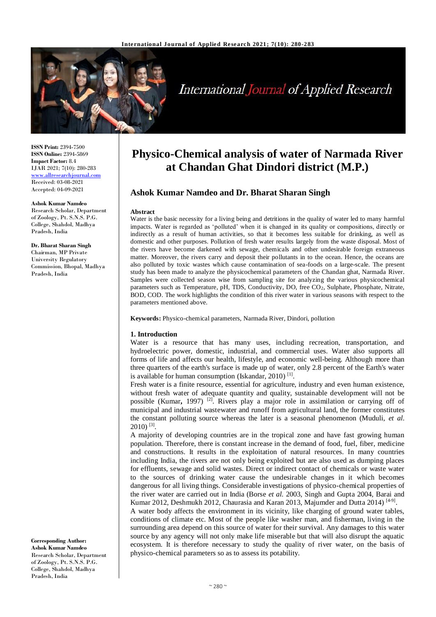

# **International Journal of Applied Research**

**ISSN Print:** 2394-7500 **ISSN Online:** 2394-5869 **Impact Factor:** 8.4 IJAR 2021; 7(10): 280-283 <www.allresearchjournal.com> Received: 03-08-2021 Accepted: 04-09-2021

#### **Ashok Kumar Namdeo**

Research Scholar, Department of Zoology, Pt. S.N.S. P.G. College, Shahdol, Madhya Pradesh, India

**Dr. Bharat Sharan Singh** Chairman, MP Private University Regulatory Commission, Bhopal, Madhya Pradesh, India

#### **Corresponding Author: Ashok Kumar Namdeo** Research Scholar, Department of Zoology, Pt. S.N.S. P.G. College, Shahdol, Madhya Pradesh, India

# **Physico-Chemical analysis of water of Narmada River at Chandan Ghat Dindori district (M.P.)**

# **Ashok Kumar Namdeo and Dr. Bharat Sharan Singh**

#### **Abstract**

Water is the basic necessity for a living being and detritions in the quality of water led to many harmful impacts. Water is regarded as 'polluted' when it is changed in its quality or compositions, directly or indirectly as a result of human activities, so that it becomes less suitable for drinking, as well as domestic and other purposes. Pollution of fresh water results largely from the waste disposal. Most of the rivers have become darkened with sewage, chemicals and other undesirable foreign extraneous matter. Moreover, the rivers carry and deposit their pollutants in to the ocean. Hence, the oceans are also polluted by toxic wastes which cause contamination of sea-foods on a large-scale. The present study has been made to analyze the physicochemical parameters of the Chandan ghat, Narmada River. Samples were collected season wise from sampling site for analyzing the various physicochemical parameters such as Temperature, pH, TDS, Conductivity, DO, free CO2, Sulphate, Phosphate, Nitrate, BOD, COD. The work highlights the condition of this river water in various seasons with respect to the parameters mentioned above.

**Keywords:** Physico-chemical parameters, Narmada River, Dindori, pollution

### **1. Introduction**

Water is a resource that has many uses, including recreation, transportation, and hydroelectric power, domestic, industrial, and commercial uses. Water also supports all forms of life and affects our health, lifestyle, and economic well-being. Although more than three quarters of the earth's surface is made up of water, only 2.8 percent of the Earth's water is available for human consumption (Iskandar, 2010)<sup>[1]</sup>.

Fresh water is a finite resource, essential for agriculture, industry and even human existence, without fresh water of adequate quantity and quality, sustainable development will not be possible (Kumar**,** 1997) [2]. Rivers play a major role in assimilation or carrying off of municipal and industrial wastewater and runoff from agricultural land, the former constitutes the constant polluting source whereas the later is a seasonal phenomenon (Muduli, *et al.*   $2010$ )<sup>[3]</sup>.

A majority of developing countries are in the tropical zone and have fast growing human population. Therefore, there is constant increase in the demand of food, fuel, fiber, medicine and constructions. It results in the exploitation of natural resources. In many countries including India, the rivers are not only being exploited but are also used as dumping places for effluents, sewage and solid wastes. Direct or indirect contact of chemicals or waste water to the sources of drinking water cause the undesirable changes in it which becomes dangerous for all living things. Considerable investigations of physico-chemical properties of the river water are carried out in India (Borse *et al.* 2003, Singh and Gupta 2004, Barai and Kumar 2012, Deshmukh 2012, Chaurasia and Karan 2013, Majumder and Dutta 2014)<sup>[4-9]</sup>.

A water body affects the environment in its vicinity, like charging of ground water tables, conditions of climate etc. Most of the people like washer man, and fisherman, living in the surrounding area depend on this source of water for their survival. Any damages to this water source by any agency will not only make life miserable but that will also disrupt the aquatic ecosystem. It is therefore necessary to study the quality of river water, on the basis of physico-chemical parameters so as to assess its potability.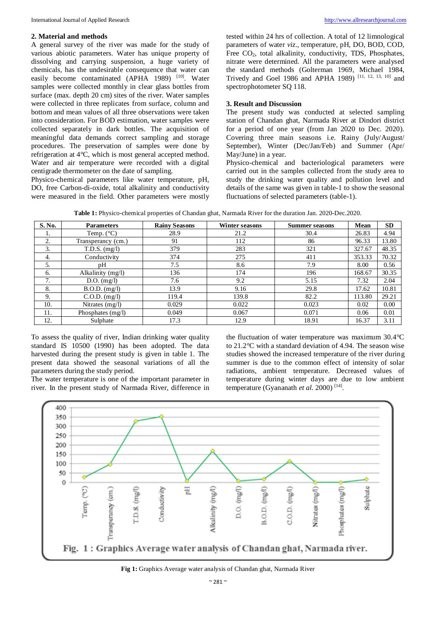### **2. Material and methods**

A general survey of the river was made for the study of various abiotic parameters. Water has unique property of dissolving and carrying suspension, a huge variety of chemicals, has the undesirable consequence that water can easily become contaminated (APHA 1989) [10]. Water samples were collected monthly in clear glass bottles from surface (max. depth 20 cm) sites of the river. Water samples were collected in three replicates from surface, column and bottom and mean values of all three observations were taken into consideration. For BOD estimation, water samples were collected separately in dark bottles. The acquisition of meaningful data demands correct sampling and storage procedures. The preservation of samples were done by refrigeration at 4°C, which is most general accepted method. Water and air temperature were recorded with a digital centigrade thermometer on the date of sampling.

Physico-chemical parameters like water temperature, pH, DO, free Carbon-di-oxide, total alkalinity and conductivity were measured in the field. Other parameters were mostly

tested within 24 hrs of collection. A total of 12 limnological parameters of water *viz*., temperature, pH, DO, BOD, COD, Free CO2, total alkalinity, conductivity, TDS, Phosphates, nitrate were determined. All the parameters were analysed the standard methods (Golterman 1969, Michael 1984, Trivedy and Goel 1986 and APHA 1989)<sup>[11, 12, 13, 10]</sup> and spectrophotometer SQ 118.

## **3. Result and Discussion**

The present study was conducted at selected sampling station of Chandan ghat, Narmada River at Dindori district for a period of one year (from Jan 2020 to Dec. 2020). Covering three main seasons i.e. Rainy (July/August/ September), Winter (Dec/Jan/Feb) and Summer (Apr/ May/June) in a year.

Physico-chemical and bacteriological parameters were carried out in the samples collected from the study area to study the drinking water quality and pollution level and details of the same was given in table-1 to show the seasonal fluctuations of selected parameters (table-1).

|  |  |  |  | Table 1: Physico-chemical properties of Chandan ghat, Narmada River for the duration Jan. 2020-Dec.2020. |  |
|--|--|--|--|----------------------------------------------------------------------------------------------------------|--|
|--|--|--|--|----------------------------------------------------------------------------------------------------------|--|

| S. No. | <b>Parameters</b>   | <b>Rainy Seasons</b> | Winter seasons | <b>Summer seasons</b> |        | <b>SD</b> |
|--------|---------------------|----------------------|----------------|-----------------------|--------|-----------|
| 1.     | Temp. $(^{\circ}C)$ | 28.9                 | 21.2           | 30.4                  | 26.83  | 4.94      |
| 2.     | Transperancy (cm.)  | 91                   | 112            | 86                    | 96.33  | 13.80     |
| 3.     | $T.D.S.$ $(mg/l)$   | 379                  | 283            | 321                   | 327.67 | 48.35     |
| 4.     | Conductivity        | 374                  | 275            | 411                   | 353.33 | 70.32     |
| 5.     | pΗ                  | 7.5                  | 8.6            | 7.9                   | 8.00   | 0.56      |
| 6.     | Alkalinity (mg/l)   | 136                  | 174            | 196                   | 168.67 | 30.35     |
| 7.     | $D.O.$ (mg/l)       | 7.6                  | 9.2            | 5.15                  | 7.32   | 2.04      |
| 8.     | $B.O.D.$ $(mg/l)$   | 13.9                 | 9.16           | 29.8                  | 17.62  | 10.81     |
| 9.     | $C.O.D.$ (mg/l)     | 119.4                | 139.8          | 82.2                  | 113.80 | 29.21     |
| 10.    | Nitrates $(mg/l)$   | 0.029                | 0.022          | 0.023                 | 0.02   | 0.00      |
| 11.    | Phosphates $(mg/l)$ | 0.049                | 0.067          | 0.071                 | 0.06   | 0.01      |
| 12.    | Sulphate            | 17.3                 | 12.9           | 18.91                 | 16.37  | 3.11      |

To assess the quality of river, Indian drinking water quality standard IS 10500 (1990) has been adopted. The data harvested during the present study is given in table 1. The present data showed the seasonal variations of all the parameters during the study period.

The water temperature is one of the important parameter in river. In the present study of Narmada River, difference in the fluctuation of water temperature was maximum 30.4°C to 21.2°C with a standard deviation of 4.94. The season wise studies showed the increased temperature of the river during summer is due to the common effect of intensity of solar radiations, ambient temperature. Decreased values of temperature during winter days are due to low ambient temperature (Gyananath *et al.* 2000)<sup>[14]</sup>.



**Fig 1:** Graphics Average water analysis of Chandan ghat, Narmada River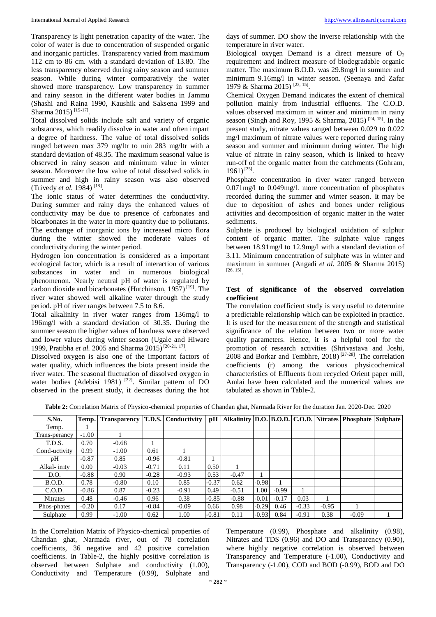Transparency is light penetration capacity of the water. The color of water is due to concentration of suspended organic and inorganic particles. Transparency varied from maximum 112 cm to 86 cm. with a standard deviation of 13.80. The less transparency observed during rainy season and summer season. While during winter comparatively the water showed more transparency. Low transparency in summer and rainy season in the different water bodies in Jammu (Shashi and Raina 1990, Kaushik and Saksena 1999 and Sharma 2015) [15-17] .

Total dissolved solids include salt and variety of organic substances, which readily dissolve in water and often impart a degree of hardness. The value of total dissolved solids ranged between max 379 mg/ltr to min 283 mg/ltr with a standard deviation of 48.35. The maximum seasonal value is observed in rainy season and minimum value in winter season. Moreover the low value of total dissolved solids in summer and high in rainy season was also observed (Trivedy *et al.* 1984)<sup>[18]</sup>.

The ionic status of water determines the conductivity. During summer and rainy days the enhanced values of conductivity may be due to presence of carbonates and bicarbonates in the water in more quantity due to pollutants. The exchange of inorganic ions by increased micro flora during the winter showed the moderate values of conductivity during the winter period.

Hydrogen ion concentration is considered as a important ecological factor, which is a result of interaction of various substances in water and in numerous biological phenomenon. Nearly neutral pH of water is regulated by carbon dioxide and bicarbonates (Hutchinson, 1957)<sup>[19]</sup>. The river water showed well alkaline water through the study period. pH of river ranges between 7.5 to 8.6.

Total alkalinity in river water ranges from 136mg/l to 196mg/l with a standard deviation of 30.35. During the summer season the higher values of hardness were observed and lower values during winter season (Ugale and Hiware 1999, Pratibha *et al.* 2005 and Sharma 2015)<sup>[20-21, 17].</sup>

Dissolved oxygen is also one of the important factors of water quality, which influences the biota present inside the river water. The seasonal fluctuation of dissolved oxygen in water bodies (Adebisi 1981)<sup>[22]</sup>. Similar pattern of DO observed in the present study, it decreases during the hot days of summer. DO show the inverse relationship with the temperature in river water.

Biological oxygen Demand is a direct measure of  $O_2$ requirement and indirect measure of biodegradable organic matter. The maximum B.O.D. was 29.8mg/l in summer and minimum 9.16mg/l in winter season. (Seenaya and Zafar 1979 & Sharma 2015)<sup>[23, 15]</sup>.

Chemical Oxygen Demand indicates the extent of chemical pollution mainly from industrial effluents. The C.O.D. values observed maximum in winter and minimum in rainy season (Singh and Roy, 1995 & Sharma, 2015)<sup>[24, 15]</sup>. In the present study, nitrate values ranged between 0.029 to 0.022 mg/l maximum of nitrate values were reported during rainy season and summer and minimum during winter. The high value of nitrate in rainy season, which is linked to heavy run-off of the organic matter from the catchments (Gohram, 1961) [25] .

Phosphate concentration in river water ranged between 0.071mg/l to 0.049mg/l. more concentration of phosphates recorded during the summer and winter season. It may be due to deposition of ashes and bones under religious activities and decomposition of organic matter in the water sediments.

Sulphate is produced by biological oxidation of sulphur content of organic matter. The sulphate value ranges between 18.91mg/l to 12.9mg/l with a standard deviation of 3.11. Minimum concentration of sulphate was in winter and maximum in summer (Angadi *et al.* 2005 & Sharma 2015) [26, 15] .

# **Test of significance of the observed correlation coefficient**

The correlation coefficient study is very useful to determine a predictable relationship which can be exploited in practice. It is used for the measurement of the strength and statistical significance of the relation between two or more water quality parameters. Hence, it is a helpful tool for the promotion of research activities (Shrivastava and Joshi, 2008 and Borkar and Tembhre, 2018) [27-28]. The correlation coefficients (r) among the various physicochemical characteristics of Effluents from recycled Orient paper mill, Amlai have been calculated and the numerical values are tabulated as shown in Table-2.

| Table 2: Correlation Matrix of Physico-chemical properties of Chandan ghat, Narmada River for the duration Jan. 2020-Dec. 2020 |  |
|--------------------------------------------------------------------------------------------------------------------------------|--|
|--------------------------------------------------------------------------------------------------------------------------------|--|

| S.No.           | Temp.   | <b>Transparency</b> | <b>T.D.S.</b> | Conductivity | pH      |         |         |         |         |         | Alkalinity   D.O.   B.O.D.   C.O.D.   Nitrates   Phosphate   Sulphate |  |
|-----------------|---------|---------------------|---------------|--------------|---------|---------|---------|---------|---------|---------|-----------------------------------------------------------------------|--|
| Temp.           |         |                     |               |              |         |         |         |         |         |         |                                                                       |  |
| Trans-perancy   | $-1.00$ |                     |               |              |         |         |         |         |         |         |                                                                       |  |
| T.D.S.          | 0.70    | $-0.68$             |               |              |         |         |         |         |         |         |                                                                       |  |
| Cond-uctivity   | 0.99    | $-1.00$             | 0.61          |              |         |         |         |         |         |         |                                                                       |  |
| pΗ              | $-0.87$ | 0.85                | $-0.96$       | $-0.81$      |         |         |         |         |         |         |                                                                       |  |
| Alkal- inity    | 0.00    | $-0.03$             | $-0.71$       | 0.11         | 0.50    |         |         |         |         |         |                                                                       |  |
| D.O.            | $-0.88$ | 0.90                | $-0.28$       | $-0.93$      | 0.53    | $-0.47$ |         |         |         |         |                                                                       |  |
| B.O.D.          | 0.78    | $-0.80$             | 0.10          | 0.85         | $-0.37$ | 0.62    | $-0.98$ |         |         |         |                                                                       |  |
| C.O.D.          | $-0.86$ | 0.87                | $-0.23$       | $-0.91$      | 0.49    | $-0.51$ | 1.00    | $-0.99$ |         |         |                                                                       |  |
| <b>Nitrates</b> | 0.48    | $-0.46$             | 0.96          | 0.38         | $-0.85$ | $-0.88$ | $-0.01$ | $-0.17$ | 0.03    |         |                                                                       |  |
| Phos-phates     | $-0.20$ | 0.17                | $-0.84$       | $-0.09$      | 0.66    | 0.98    | $-0.29$ | 0.46    | $-0.33$ | $-0.95$ |                                                                       |  |
| Sulphate        | 0.99    | $-1.00$             | 0.62          | 1.00         | $-0.81$ | 0.11    | $-0.93$ | 0.84    | $-0.91$ | 0.38    | $-0.09$                                                               |  |

In the Correlation Matrix of Physico-chemical properties of Chandan ghat, Narmada river, out of 78 correlation coefficients, 36 negative and 42 positive correlation coefficients. In Table-2, the highly positive correlation is observed between Sulphate and conductivity (1.00), Conductivity and Temperature (0.99), Sulphate and

Temperature (0.99), Phosphate and alkalinity (0.98), Nitrates and TDS (0.96) and DO and Transparency (0.90), where highly negative correlation is observed between Transparency and Temperature (-1.00), Conductivity and Transparency (-1.00), COD and BOD (-0.99), BOD and DO